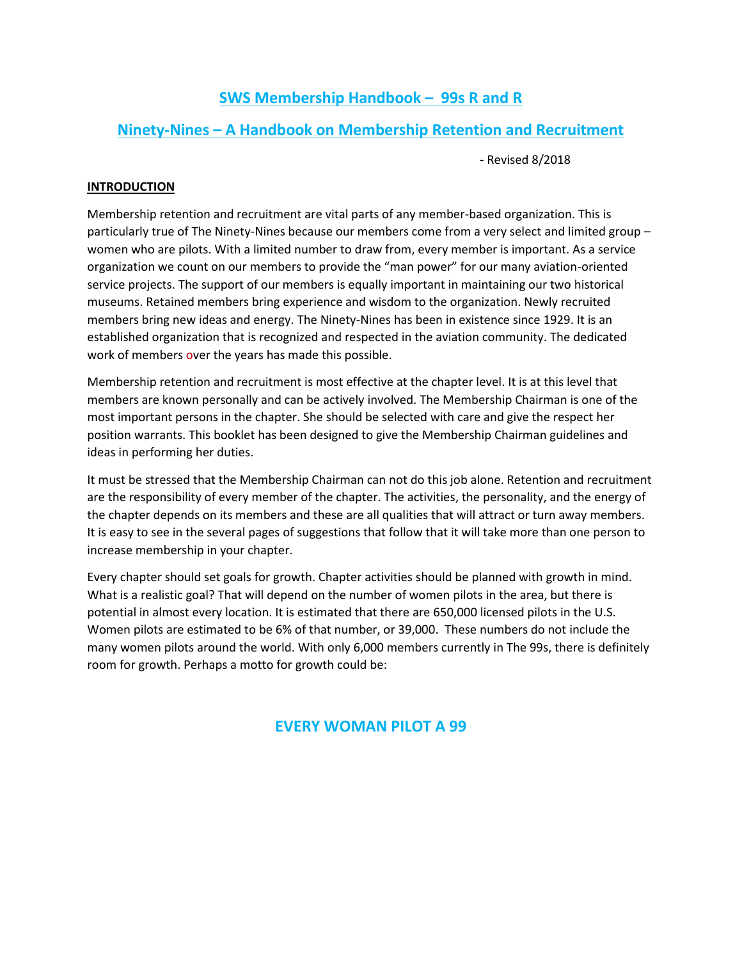# **SWS Membership Handbook – 99s R and R**

# **Ninety-Nines – A Handbook on Membership Retention and Recruitment**

**-** Revised 8/2018

## **INTRODUCTION**

Membership retention and recruitment are vital parts of any member-based organization. This is particularly true of The Ninety-Nines because our members come from a very select and limited group – women who are pilots. With a limited number to draw from, every member is important. As a service organization we count on our members to provide the "man power" for our many aviation-oriented service projects. The support of our members is equally important in maintaining our two historical museums. Retained members bring experience and wisdom to the organization. Newly recruited members bring new ideas and energy. The Ninety-Nines has been in existence since 1929. It is an established organization that is recognized and respected in the aviation community. The dedicated work of members over the years has made this possible.

Membership retention and recruitment is most effective at the chapter level. It is at this level that members are known personally and can be actively involved. The Membership Chairman is one of the most important persons in the chapter. She should be selected with care and give the respect her position warrants. This booklet has been designed to give the Membership Chairman guidelines and ideas in performing her duties.

It must be stressed that the Membership Chairman can not do this job alone. Retention and recruitment are the responsibility of every member of the chapter. The activities, the personality, and the energy of the chapter depends on its members and these are all qualities that will attract or turn away members. It is easy to see in the several pages of suggestions that follow that it will take more than one person to increase membership in your chapter.

Every chapter should set goals for growth. Chapter activities should be planned with growth in mind. What is a realistic goal? That will depend on the number of women pilots in the area, but there is potential in almost every location. It is estimated that there are 650,000 licensed pilots in the U.S. Women pilots are estimated to be 6% of that number, or 39,000. These numbers do not include the many women pilots around the world. With only 6,000 members currently in The 99s, there is definitely room for growth. Perhaps a motto for growth could be:

## **EVERY WOMAN PILOT A 99**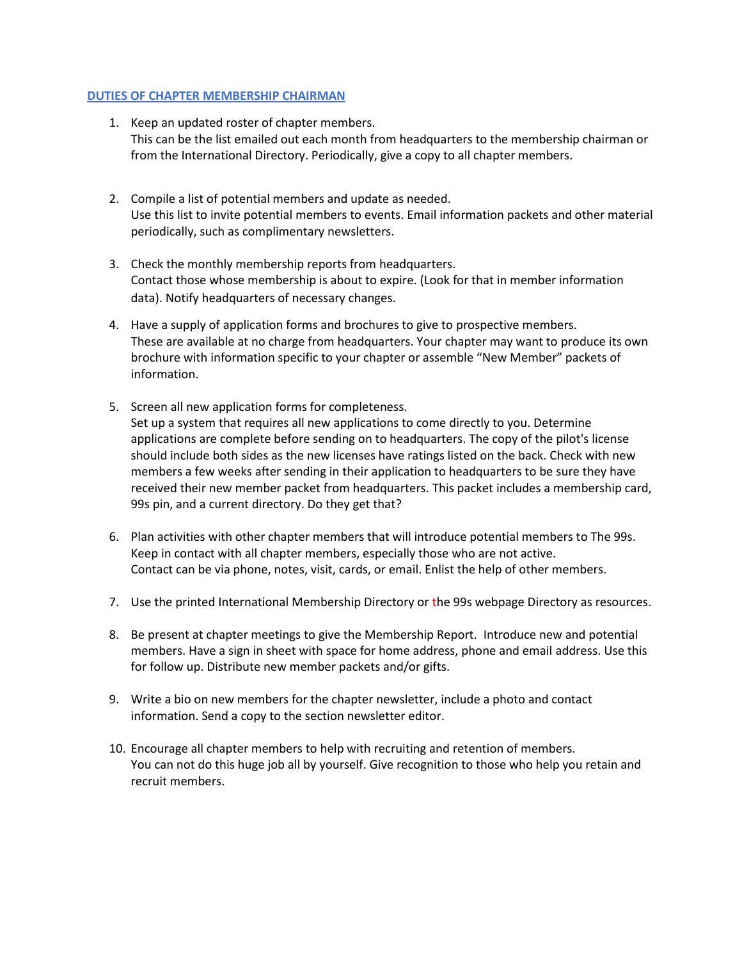#### **DUTIES OF CHAPTER MEMBERSHIP CHAIRMAN**

- 1. Keep an updated roster of chapter members. This can be the list emailed out each month from headquarters to the membership chairman or from the International Directory. Periodically, give a copy to all chapter members.
- 2. Compile a list of potential members and update as needed. Use this list to invite potential members to events. Email information packets and other material periodically, such as complimentary newsletters.
- 3. Check the monthly membership reports from headquarters. Contact those whose membership is about to expire. (Look for that in member information data). Notify headquarters of necessary changes.
- 4. Have a supply of application forms and brochures to give to prospective members. These are available at no charge from headquarters. Your chapter may want to produce its own brochure with information specific to your chapter or assemble "New Member" packets of information.
- 5. Screen all new application forms for completeness. Set up a system that requires all new applications to come directly to you. Determine applications are complete before sending on to headquarters. The copy of the pilot's license should include both sides as the new licenses have ratings listed on the back. Check with new members a few weeks after sending in their application to headquarters to be sure they have received their new member packet from headquarters. This packet includes a membership card, 99s pin, and a current directory. Do they get that?
- 6. Plan activities with other chapter members that will introduce potential members to The 99s. Keep in contact with all chapter members, especially those who are not active. Contact can be via phone, notes, visit, cards, or email. Enlist the help of other members.
- 7. Use the printed International Membership Directory or the 99s webpage Directory as resources.
- 8. Be present at chapter meetings to give the Membership Report. Introduce new and potential members. Have a sign in sheet with space for home address, phone and email address. Use this for follow up. Distribute new member packets and/or gifts.
- 9. Write a bio on new members for the chapter newsletter, include a photo and contact information. Send a copy to the section newsletter editor.
- 10. Encourage all chapter members to help with recruiting and retention of members. You can not do this huge job all by yourself. Give recognition to those who help you retain and recruit members.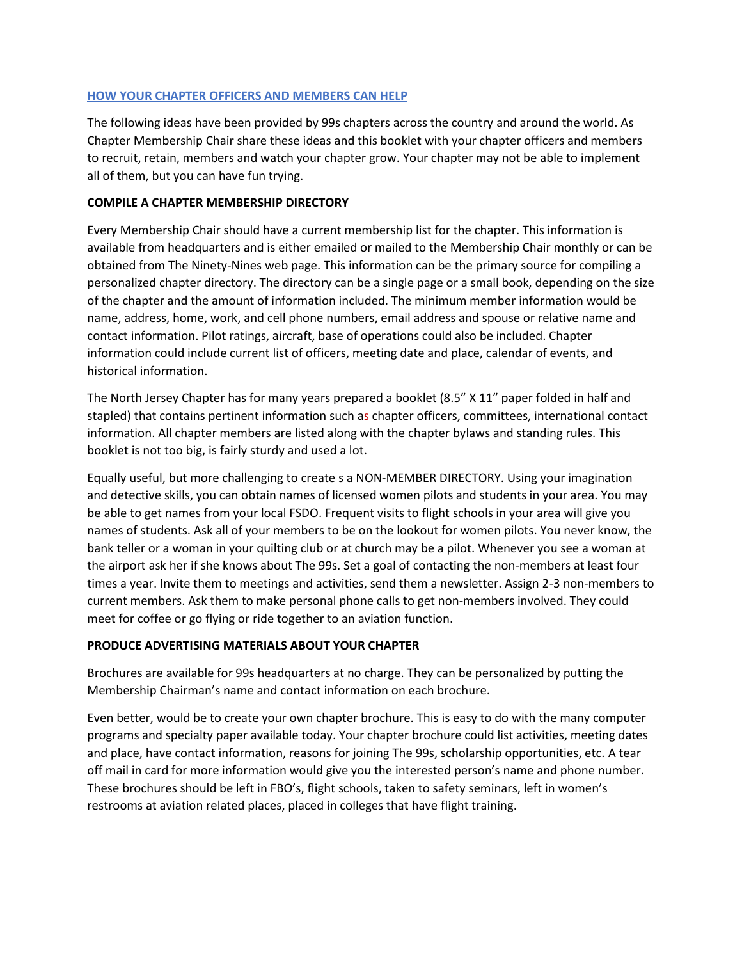## **HOW YOUR CHAPTER OFFICERS AND MEMBERS CAN HELP**

The following ideas have been provided by 99s chapters across the country and around the world. As Chapter Membership Chair share these ideas and this booklet with your chapter officers and members to recruit, retain, members and watch your chapter grow. Your chapter may not be able to implement all of them, but you can have fun trying.

#### **COMPILE A CHAPTER MEMBERSHIP DIRECTORY**

Every Membership Chair should have a current membership list for the chapter. This information is available from headquarters and is either emailed or mailed to the Membership Chair monthly or can be obtained from The Ninety-Nines web page. This information can be the primary source for compiling a personalized chapter directory. The directory can be a single page or a small book, depending on the size of the chapter and the amount of information included. The minimum member information would be name, address, home, work, and cell phone numbers, email address and spouse or relative name and contact information. Pilot ratings, aircraft, base of operations could also be included. Chapter information could include current list of officers, meeting date and place, calendar of events, and historical information.

The North Jersey Chapter has for many years prepared a booklet (8.5" X 11" paper folded in half and stapled) that contains pertinent information such as chapter officers, committees, international contact information. All chapter members are listed along with the chapter bylaws and standing rules. This booklet is not too big, is fairly sturdy and used a lot.

Equally useful, but more challenging to create s a NON-MEMBER DIRECTORY. Using your imagination and detective skills, you can obtain names of licensed women pilots and students in your area. You may be able to get names from your local FSDO. Frequent visits to flight schools in your area will give you names of students. Ask all of your members to be on the lookout for women pilots. You never know, the bank teller or a woman in your quilting club or at church may be a pilot. Whenever you see a woman at the airport ask her if she knows about The 99s. Set a goal of contacting the non-members at least four times a year. Invite them to meetings and activities, send them a newsletter. Assign 2-3 non-members to current members. Ask them to make personal phone calls to get non-members involved. They could meet for coffee or go flying or ride together to an aviation function.

#### **PRODUCE ADVERTISING MATERIALS ABOUT YOUR CHAPTER**

Brochures are available for 99s headquarters at no charge. They can be personalized by putting the Membership Chairman's name and contact information on each brochure.

Even better, would be to create your own chapter brochure. This is easy to do with the many computer programs and specialty paper available today. Your chapter brochure could list activities, meeting dates and place, have contact information, reasons for joining The 99s, scholarship opportunities, etc. A tear off mail in card for more information would give you the interested person's name and phone number. These brochures should be left in FBO's, flight schools, taken to safety seminars, left in women's restrooms at aviation related places, placed in colleges that have flight training.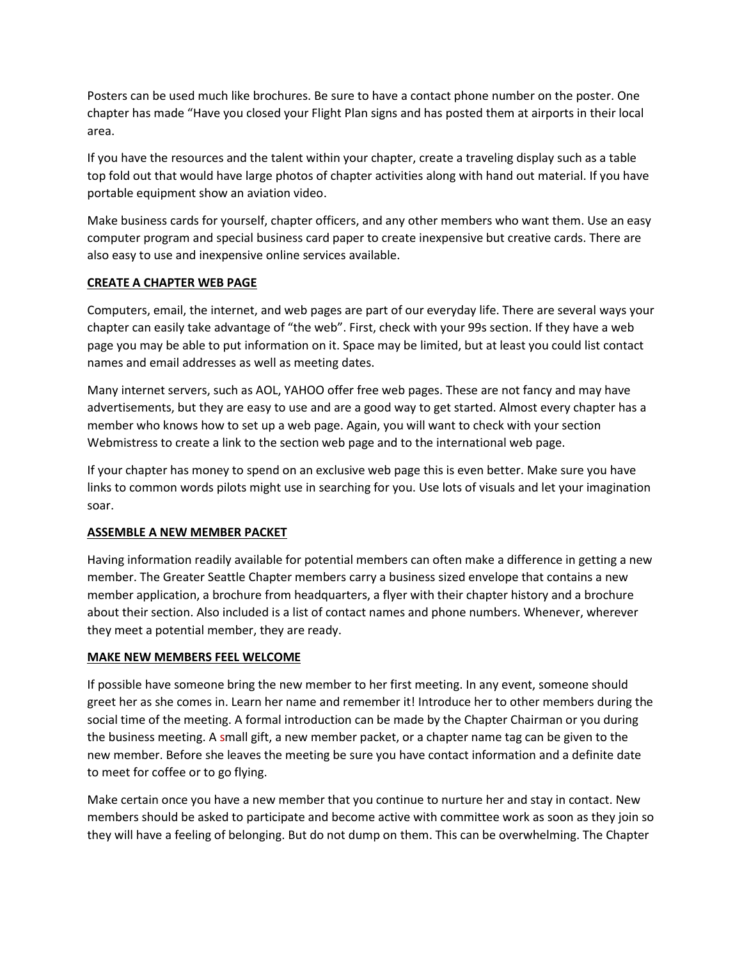Posters can be used much like brochures. Be sure to have a contact phone number on the poster. One chapter has made "Have you closed your Flight Plan signs and has posted them at airports in their local area.

If you have the resources and the talent within your chapter, create a traveling display such as a table top fold out that would have large photos of chapter activities along with hand out material. If you have portable equipment show an aviation video.

Make business cards for yourself, chapter officers, and any other members who want them. Use an easy computer program and special business card paper to create inexpensive but creative cards. There are also easy to use and inexpensive online services available.

## **CREATE A CHAPTER WEB PAGE**

Computers, email, the internet, and web pages are part of our everyday life. There are several ways your chapter can easily take advantage of "the web". First, check with your 99s section. If they have a web page you may be able to put information on it. Space may be limited, but at least you could list contact names and email addresses as well as meeting dates.

Many internet servers, such as AOL, YAHOO offer free web pages. These are not fancy and may have advertisements, but they are easy to use and are a good way to get started. Almost every chapter has a member who knows how to set up a web page. Again, you will want to check with your section Webmistress to create a link to the section web page and to the international web page.

If your chapter has money to spend on an exclusive web page this is even better. Make sure you have links to common words pilots might use in searching for you. Use lots of visuals and let your imagination soar.

## **ASSEMBLE A NEW MEMBER PACKET**

Having information readily available for potential members can often make a difference in getting a new member. The Greater Seattle Chapter members carry a business sized envelope that contains a new member application, a brochure from headquarters, a flyer with their chapter history and a brochure about their section. Also included is a list of contact names and phone numbers. Whenever, wherever they meet a potential member, they are ready.

## **MAKE NEW MEMBERS FEEL WELCOME**

If possible have someone bring the new member to her first meeting. In any event, someone should greet her as she comes in. Learn her name and remember it! Introduce her to other members during the social time of the meeting. A formal introduction can be made by the Chapter Chairman or you during the business meeting. A small gift, a new member packet, or a chapter name tag can be given to the new member. Before she leaves the meeting be sure you have contact information and a definite date to meet for coffee or to go flying.

Make certain once you have a new member that you continue to nurture her and stay in contact. New members should be asked to participate and become active with committee work as soon as they join so they will have a feeling of belonging. But do not dump on them. This can be overwhelming. The Chapter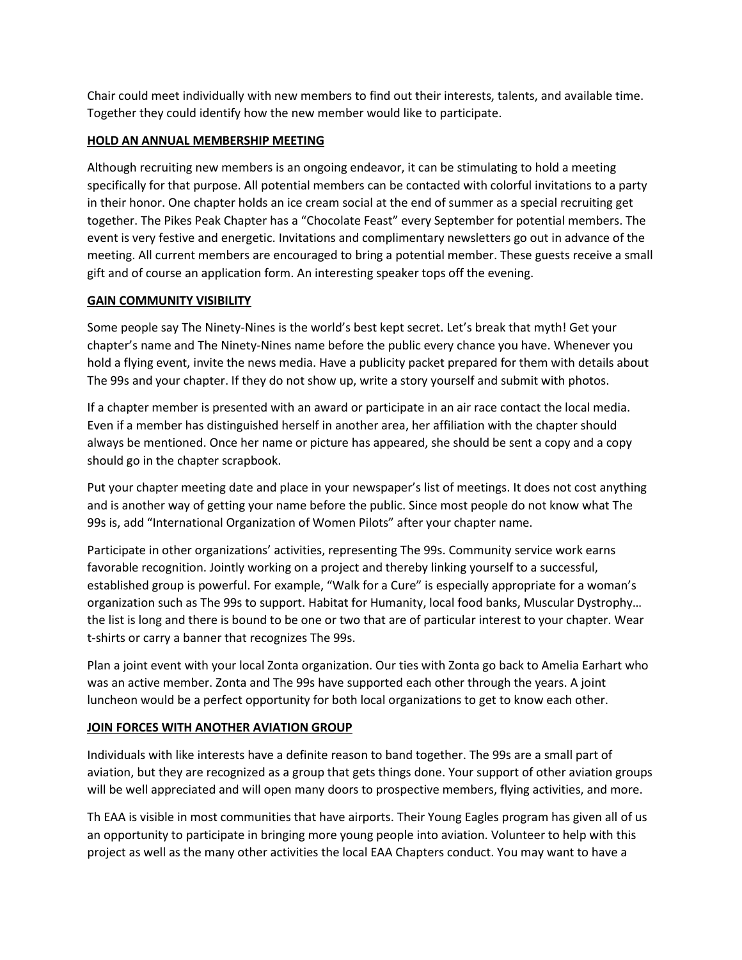Chair could meet individually with new members to find out their interests, talents, and available time. Together they could identify how the new member would like to participate.

## **HOLD AN ANNUAL MEMBERSHIP MEETING**

Although recruiting new members is an ongoing endeavor, it can be stimulating to hold a meeting specifically for that purpose. All potential members can be contacted with colorful invitations to a party in their honor. One chapter holds an ice cream social at the end of summer as a special recruiting get together. The Pikes Peak Chapter has a "Chocolate Feast" every September for potential members. The event is very festive and energetic. Invitations and complimentary newsletters go out in advance of the meeting. All current members are encouraged to bring a potential member. These guests receive a small gift and of course an application form. An interesting speaker tops off the evening.

## **GAIN COMMUNITY VISIBILITY**

Some people say The Ninety-Nines is the world's best kept secret. Let's break that myth! Get your chapter's name and The Ninety-Nines name before the public every chance you have. Whenever you hold a flying event, invite the news media. Have a publicity packet prepared for them with details about The 99s and your chapter. If they do not show up, write a story yourself and submit with photos.

If a chapter member is presented with an award or participate in an air race contact the local media. Even if a member has distinguished herself in another area, her affiliation with the chapter should always be mentioned. Once her name or picture has appeared, she should be sent a copy and a copy should go in the chapter scrapbook.

Put your chapter meeting date and place in your newspaper's list of meetings. It does not cost anything and is another way of getting your name before the public. Since most people do not know what The 99s is, add "International Organization of Women Pilots" after your chapter name.

Participate in other organizations' activities, representing The 99s. Community service work earns favorable recognition. Jointly working on a project and thereby linking yourself to a successful, established group is powerful. For example, "Walk for a Cure" is especially appropriate for a woman's organization such as The 99s to support. Habitat for Humanity, local food banks, Muscular Dystrophy… the list is long and there is bound to be one or two that are of particular interest to your chapter. Wear t-shirts or carry a banner that recognizes The 99s.

Plan a joint event with your local Zonta organization. Our ties with Zonta go back to Amelia Earhart who was an active member. Zonta and The 99s have supported each other through the years. A joint luncheon would be a perfect opportunity for both local organizations to get to know each other.

## **JOIN FORCES WITH ANOTHER AVIATION GROUP**

Individuals with like interests have a definite reason to band together. The 99s are a small part of aviation, but they are recognized as a group that gets things done. Your support of other aviation groups will be well appreciated and will open many doors to prospective members, flying activities, and more.

Th EAA is visible in most communities that have airports. Their Young Eagles program has given all of us an opportunity to participate in bringing more young people into aviation. Volunteer to help with this project as well as the many other activities the local EAA Chapters conduct. You may want to have a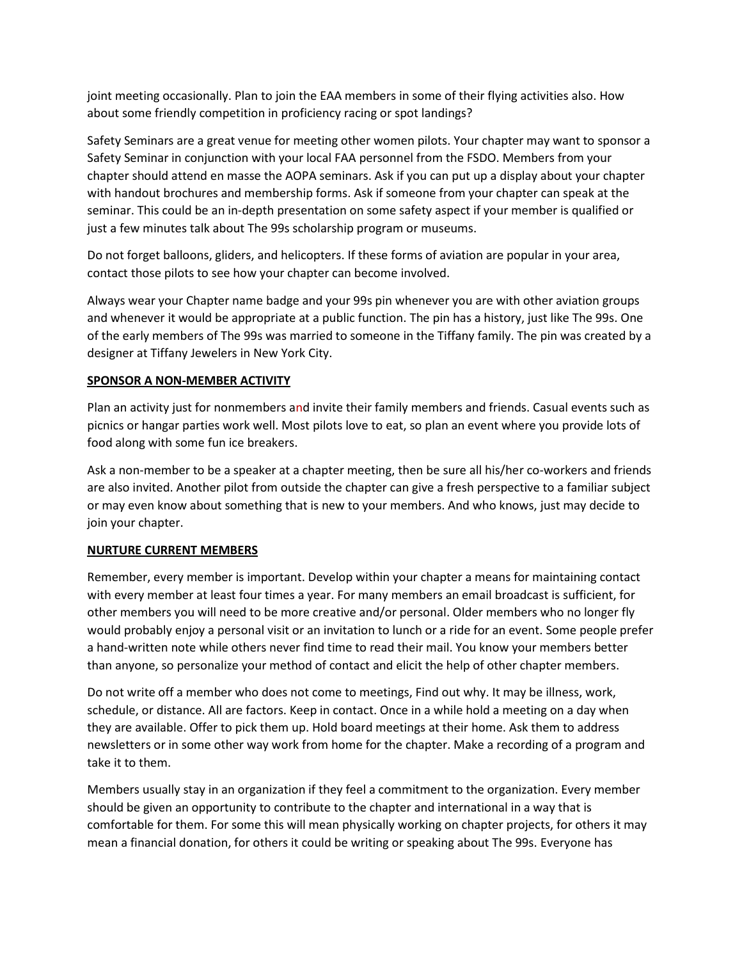joint meeting occasionally. Plan to join the EAA members in some of their flying activities also. How about some friendly competition in proficiency racing or spot landings?

Safety Seminars are a great venue for meeting other women pilots. Your chapter may want to sponsor a Safety Seminar in conjunction with your local FAA personnel from the FSDO. Members from your chapter should attend en masse the AOPA seminars. Ask if you can put up a display about your chapter with handout brochures and membership forms. Ask if someone from your chapter can speak at the seminar. This could be an in-depth presentation on some safety aspect if your member is qualified or just a few minutes talk about The 99s scholarship program or museums.

Do not forget balloons, gliders, and helicopters. If these forms of aviation are popular in your area, contact those pilots to see how your chapter can become involved.

Always wear your Chapter name badge and your 99s pin whenever you are with other aviation groups and whenever it would be appropriate at a public function. The pin has a history, just like The 99s. One of the early members of The 99s was married to someone in the Tiffany family. The pin was created by a designer at Tiffany Jewelers in New York City.

## **SPONSOR A NON-MEMBER ACTIVITY**

Plan an activity just for nonmembers and invite their family members and friends. Casual events such as picnics or hangar parties work well. Most pilots love to eat, so plan an event where you provide lots of food along with some fun ice breakers.

Ask a non-member to be a speaker at a chapter meeting, then be sure all his/her co-workers and friends are also invited. Another pilot from outside the chapter can give a fresh perspective to a familiar subject or may even know about something that is new to your members. And who knows, just may decide to join your chapter.

## **NURTURE CURRENT MEMBERS**

Remember, every member is important. Develop within your chapter a means for maintaining contact with every member at least four times a year. For many members an email broadcast is sufficient, for other members you will need to be more creative and/or personal. Older members who no longer fly would probably enjoy a personal visit or an invitation to lunch or a ride for an event. Some people prefer a hand-written note while others never find time to read their mail. You know your members better than anyone, so personalize your method of contact and elicit the help of other chapter members.

Do not write off a member who does not come to meetings, Find out why. It may be illness, work, schedule, or distance. All are factors. Keep in contact. Once in a while hold a meeting on a day when they are available. Offer to pick them up. Hold board meetings at their home. Ask them to address newsletters or in some other way work from home for the chapter. Make a recording of a program and take it to them.

Members usually stay in an organization if they feel a commitment to the organization. Every member should be given an opportunity to contribute to the chapter and international in a way that is comfortable for them. For some this will mean physically working on chapter projects, for others it may mean a financial donation, for others it could be writing or speaking about The 99s. Everyone has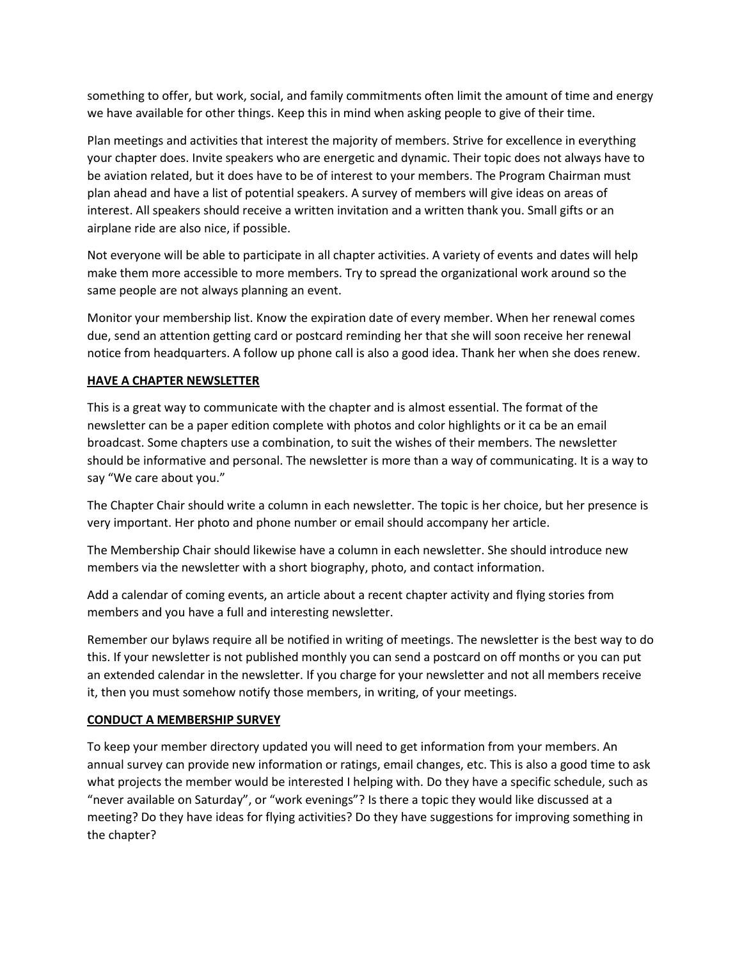something to offer, but work, social, and family commitments often limit the amount of time and energy we have available for other things. Keep this in mind when asking people to give of their time.

Plan meetings and activities that interest the majority of members. Strive for excellence in everything your chapter does. Invite speakers who are energetic and dynamic. Their topic does not always have to be aviation related, but it does have to be of interest to your members. The Program Chairman must plan ahead and have a list of potential speakers. A survey of members will give ideas on areas of interest. All speakers should receive a written invitation and a written thank you. Small gifts or an airplane ride are also nice, if possible.

Not everyone will be able to participate in all chapter activities. A variety of events and dates will help make them more accessible to more members. Try to spread the organizational work around so the same people are not always planning an event.

Monitor your membership list. Know the expiration date of every member. When her renewal comes due, send an attention getting card or postcard reminding her that she will soon receive her renewal notice from headquarters. A follow up phone call is also a good idea. Thank her when she does renew.

## **HAVE A CHAPTER NEWSLETTER**

This is a great way to communicate with the chapter and is almost essential. The format of the newsletter can be a paper edition complete with photos and color highlights or it ca be an email broadcast. Some chapters use a combination, to suit the wishes of their members. The newsletter should be informative and personal. The newsletter is more than a way of communicating. It is a way to say "We care about you."

The Chapter Chair should write a column in each newsletter. The topic is her choice, but her presence is very important. Her photo and phone number or email should accompany her article.

The Membership Chair should likewise have a column in each newsletter. She should introduce new members via the newsletter with a short biography, photo, and contact information.

Add a calendar of coming events, an article about a recent chapter activity and flying stories from members and you have a full and interesting newsletter.

Remember our bylaws require all be notified in writing of meetings. The newsletter is the best way to do this. If your newsletter is not published monthly you can send a postcard on off months or you can put an extended calendar in the newsletter. If you charge for your newsletter and not all members receive it, then you must somehow notify those members, in writing, of your meetings.

## **CONDUCT A MEMBERSHIP SURVEY**

To keep your member directory updated you will need to get information from your members. An annual survey can provide new information or ratings, email changes, etc. This is also a good time to ask what projects the member would be interested I helping with. Do they have a specific schedule, such as "never available on Saturday", or "work evenings"? Is there a topic they would like discussed at a meeting? Do they have ideas for flying activities? Do they have suggestions for improving something in the chapter?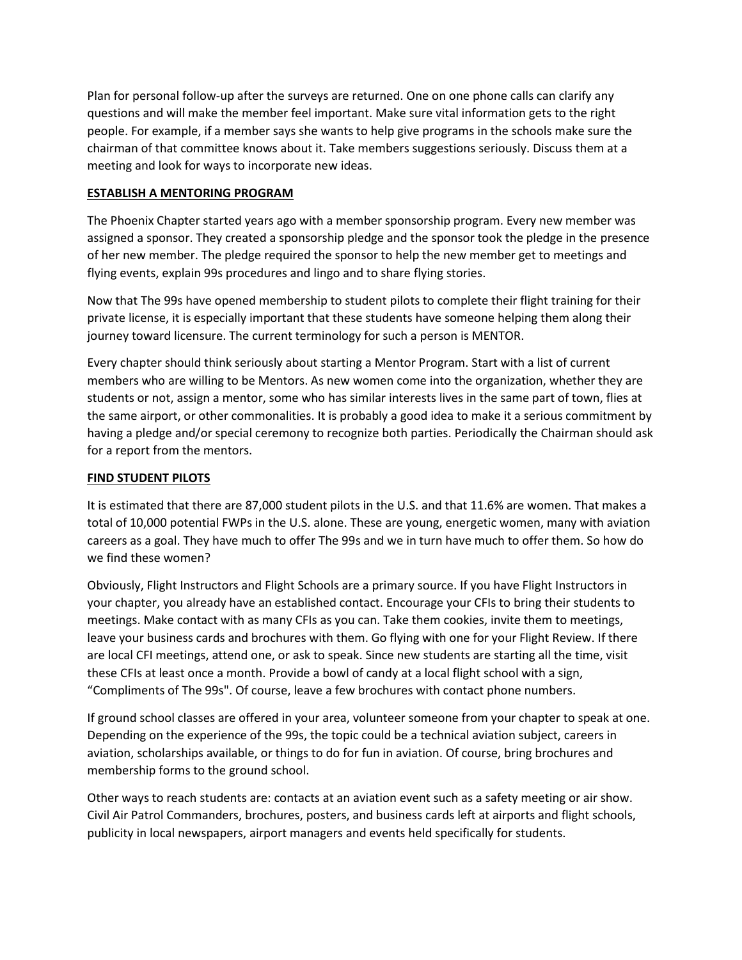Plan for personal follow-up after the surveys are returned. One on one phone calls can clarify any questions and will make the member feel important. Make sure vital information gets to the right people. For example, if a member says she wants to help give programs in the schools make sure the chairman of that committee knows about it. Take members suggestions seriously. Discuss them at a meeting and look for ways to incorporate new ideas.

## **ESTABLISH A MENTORING PROGRAM**

The Phoenix Chapter started years ago with a member sponsorship program. Every new member was assigned a sponsor. They created a sponsorship pledge and the sponsor took the pledge in the presence of her new member. The pledge required the sponsor to help the new member get to meetings and flying events, explain 99s procedures and lingo and to share flying stories.

Now that The 99s have opened membership to student pilots to complete their flight training for their private license, it is especially important that these students have someone helping them along their journey toward licensure. The current terminology for such a person is MENTOR.

Every chapter should think seriously about starting a Mentor Program. Start with a list of current members who are willing to be Mentors. As new women come into the organization, whether they are students or not, assign a mentor, some who has similar interests lives in the same part of town, flies at the same airport, or other commonalities. It is probably a good idea to make it a serious commitment by having a pledge and/or special ceremony to recognize both parties. Periodically the Chairman should ask for a report from the mentors.

## **FIND STUDENT PILOTS**

It is estimated that there are 87,000 student pilots in the U.S. and that 11.6% are women. That makes a total of 10,000 potential FWPs in the U.S. alone. These are young, energetic women, many with aviation careers as a goal. They have much to offer The 99s and we in turn have much to offer them. So how do we find these women?

Obviously, Flight Instructors and Flight Schools are a primary source. If you have Flight Instructors in your chapter, you already have an established contact. Encourage your CFIs to bring their students to meetings. Make contact with as many CFIs as you can. Take them cookies, invite them to meetings, leave your business cards and brochures with them. Go flying with one for your Flight Review. If there are local CFI meetings, attend one, or ask to speak. Since new students are starting all the time, visit these CFIs at least once a month. Provide a bowl of candy at a local flight school with a sign, "Compliments of The 99s". Of course, leave a few brochures with contact phone numbers.

If ground school classes are offered in your area, volunteer someone from your chapter to speak at one. Depending on the experience of the 99s, the topic could be a technical aviation subject, careers in aviation, scholarships available, or things to do for fun in aviation. Of course, bring brochures and membership forms to the ground school.

Other ways to reach students are: contacts at an aviation event such as a safety meeting or air show. Civil Air Patrol Commanders, brochures, posters, and business cards left at airports and flight schools, publicity in local newspapers, airport managers and events held specifically for students.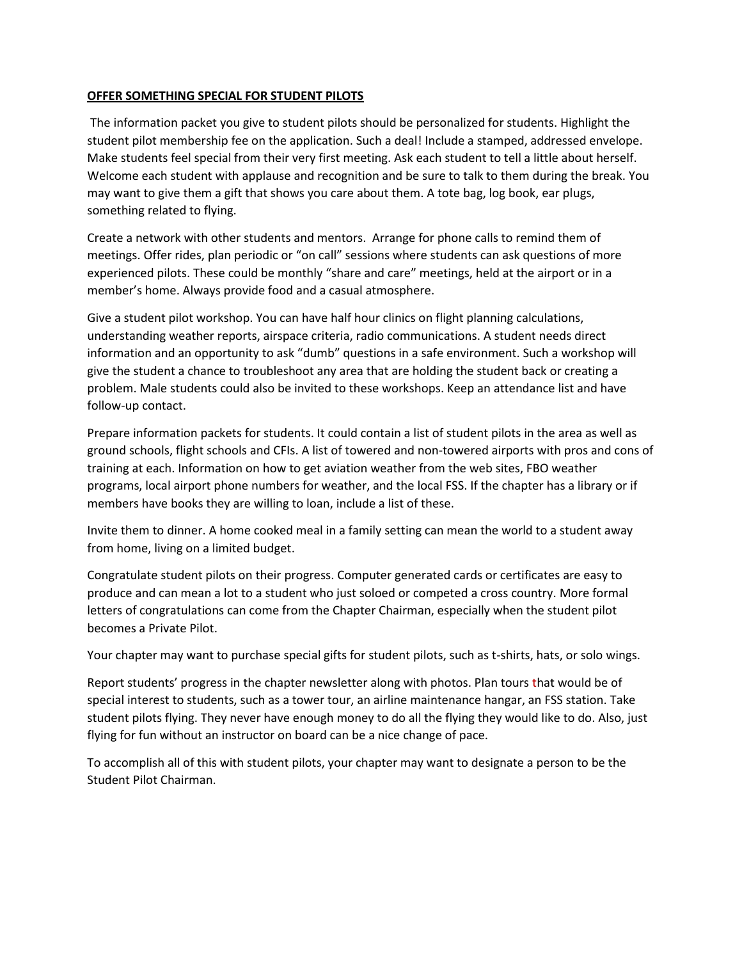## **OFFER SOMETHING SPECIAL FOR STUDENT PILOTS**

The information packet you give to student pilots should be personalized for students. Highlight the student pilot membership fee on the application. Such a deal! Include a stamped, addressed envelope. Make students feel special from their very first meeting. Ask each student to tell a little about herself. Welcome each student with applause and recognition and be sure to talk to them during the break. You may want to give them a gift that shows you care about them. A tote bag, log book, ear plugs, something related to flying.

Create a network with other students and mentors. Arrange for phone calls to remind them of meetings. Offer rides, plan periodic or "on call" sessions where students can ask questions of more experienced pilots. These could be monthly "share and care" meetings, held at the airport or in a member's home. Always provide food and a casual atmosphere.

Give a student pilot workshop. You can have half hour clinics on flight planning calculations, understanding weather reports, airspace criteria, radio communications. A student needs direct information and an opportunity to ask "dumb" questions in a safe environment. Such a workshop will give the student a chance to troubleshoot any area that are holding the student back or creating a problem. Male students could also be invited to these workshops. Keep an attendance list and have follow-up contact.

Prepare information packets for students. It could contain a list of student pilots in the area as well as ground schools, flight schools and CFIs. A list of towered and non-towered airports with pros and cons of training at each. Information on how to get aviation weather from the web sites, FBO weather programs, local airport phone numbers for weather, and the local FSS. If the chapter has a library or if members have books they are willing to loan, include a list of these.

Invite them to dinner. A home cooked meal in a family setting can mean the world to a student away from home, living on a limited budget.

Congratulate student pilots on their progress. Computer generated cards or certificates are easy to produce and can mean a lot to a student who just soloed or competed a cross country. More formal letters of congratulations can come from the Chapter Chairman, especially when the student pilot becomes a Private Pilot.

Your chapter may want to purchase special gifts for student pilots, such as t-shirts, hats, or solo wings.

Report students' progress in the chapter newsletter along with photos. Plan tours that would be of special interest to students, such as a tower tour, an airline maintenance hangar, an FSS station. Take student pilots flying. They never have enough money to do all the flying they would like to do. Also, just flying for fun without an instructor on board can be a nice change of pace.

To accomplish all of this with student pilots, your chapter may want to designate a person to be the Student Pilot Chairman.